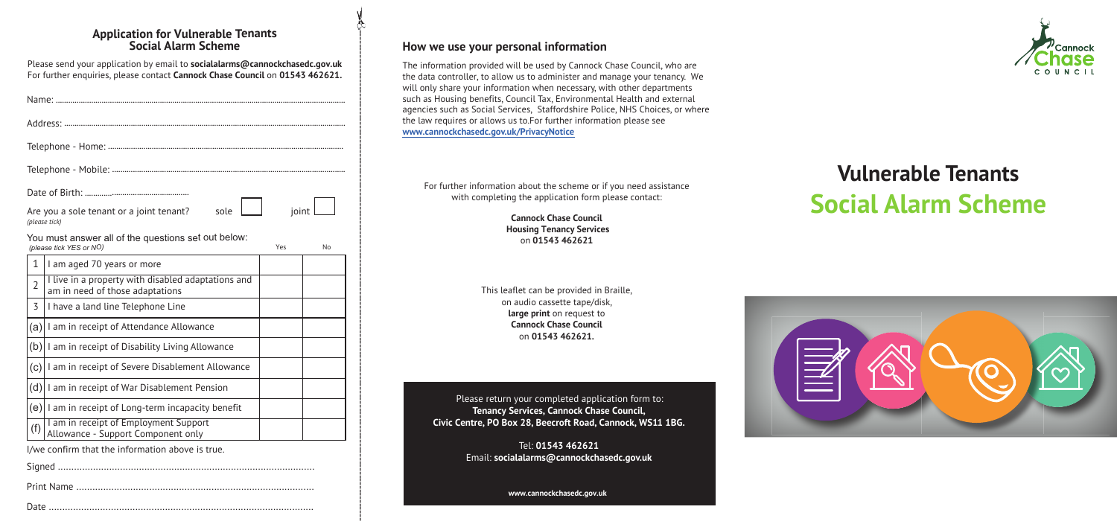-------------------------------------------------------------------------------------------------------------------------------------------

#### **Application for Vulnerable Tenants Social Alarm Scheme**

Please send your application by email to **socialalarms@cannockchasedc.gov.uk** For further enquiries, please contact **Cannock Chase Council** on **01543 462621.**

| Are you a sole tenant or a joint tenant?<br>sole<br>(please tick)                                       | joint |
|---------------------------------------------------------------------------------------------------------|-------|
| You must answer all of the questions set out below:<br>(please tick YES or NO)<br>Yes                   | No    |
| 1<br>I am aged 70 years or more                                                                         |       |
| I live in a property with disabled adaptations and<br>$\overline{2}$<br>am in need of those adaptations |       |
| 3<br>I have a land line Telephone Line                                                                  |       |
| I am in receipt of Attendance Allowance<br>(a)                                                          |       |
| (b)<br>I am in receipt of Disability Living Allowance                                                   |       |
| I am in receipt of Severe Disablement Allowance<br>(c)                                                  |       |
| (d)<br>I am in receipt of War Disablement Pension                                                       |       |
| $(e)$   am in receipt of Long-term incapacity benefit                                                   |       |
| I am in receipt of Employment Support<br>(f)<br>Allowance - Support Component only                      |       |
| I/we confirm that the information above is true.                                                        |       |
|                                                                                                         |       |
|                                                                                                         |       |
|                                                                                                         |       |

# **Vulnerable Tenants Social Alarm Scheme**



#### **How we use your personal information**

The information provided will be used by Cannock Chase Council, who are the data controller, to allow us to administer and manage your tenancy. We will only share your information when necessary, with other departments such as Housing benefits, Council Tax, Environmental Health and external agencies such as Social Services, Staffordshire Police, NHS Choices, or where the law requires or allows us to.For further information please see **<www.cannockchasedc.gov.uk/PrivacyNotice>**

For further information about the scheme or if you need assistance with completing the application form please contact:

> **Cannock Chase Council Housing Tenancy Services** on **01543 462621**

This leaflet can be provided in Braille, on audio cassette tape/disk, **large print** on request to **Cannock Chase Council** on **01543 462621.**

Please return your completed application form to: **Tenancy Services, Cannock Chase Council, Civic Centre, PO Box 28, Beecroft Road, Cannock, WS11 1BG.**

> Tel: **01543 462621** Email: **socialalarms@cannockchasedc.gov.uk**

> > **<www.cannockchasedc.gov.uk>**